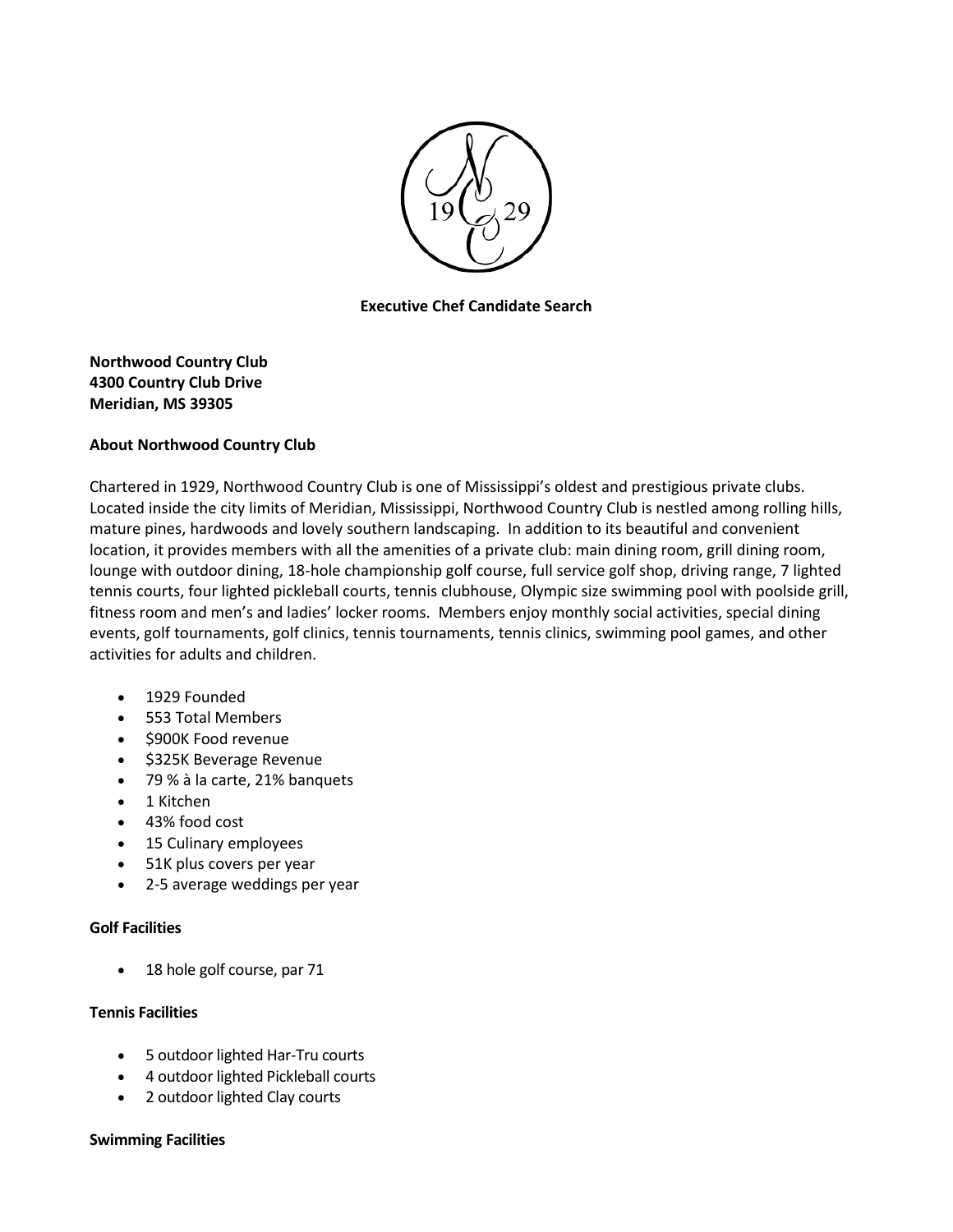

**Executive Chef Candidate Search**

# **Northwood Country Club 4300 Country Club Drive Meridian, MS 39305**

# **About Northwood Country Club**

Chartered in 1929, Northwood Country Club is one of Mississippi's oldest and prestigious private clubs. Located inside the city limits of Meridian, Mississippi, Northwood Country Club is nestled among rolling hills, mature pines, hardwoods and lovely southern landscaping. In addition to its beautiful and convenient location, it provides members with all the amenities of a private club: main dining room, grill dining room, lounge with outdoor dining, 18-hole championship golf course, full service golf shop, driving range, 7 lighted tennis courts, four lighted pickleball courts, tennis clubhouse, Olympic size swimming pool with poolside grill, fitness room and men's and ladies' locker rooms. Members enjoy monthly social activities, special dining events, golf tournaments, golf clinics, tennis tournaments, tennis clinics, swimming pool games, and other activities for adults and children.

- 1929 Founded
- 553 Total Members
- \$900K Food revenue
- \$325K Beverage Revenue
- 79 % à la carte, 21% banquets
- 1 Kitchen
- 43% food cost
- 15 Culinary employees
- 51K plus covers per year
- 2-5 average weddings per year

## **Golf Facilities**

• 18 hole golf course, par 71

## **Tennis Facilities**

- 5 outdoor lighted Har-Tru courts
- 4 outdoor lighted Pickleball courts
- 2 outdoor lighted Clay courts

## **Swimming Facilities**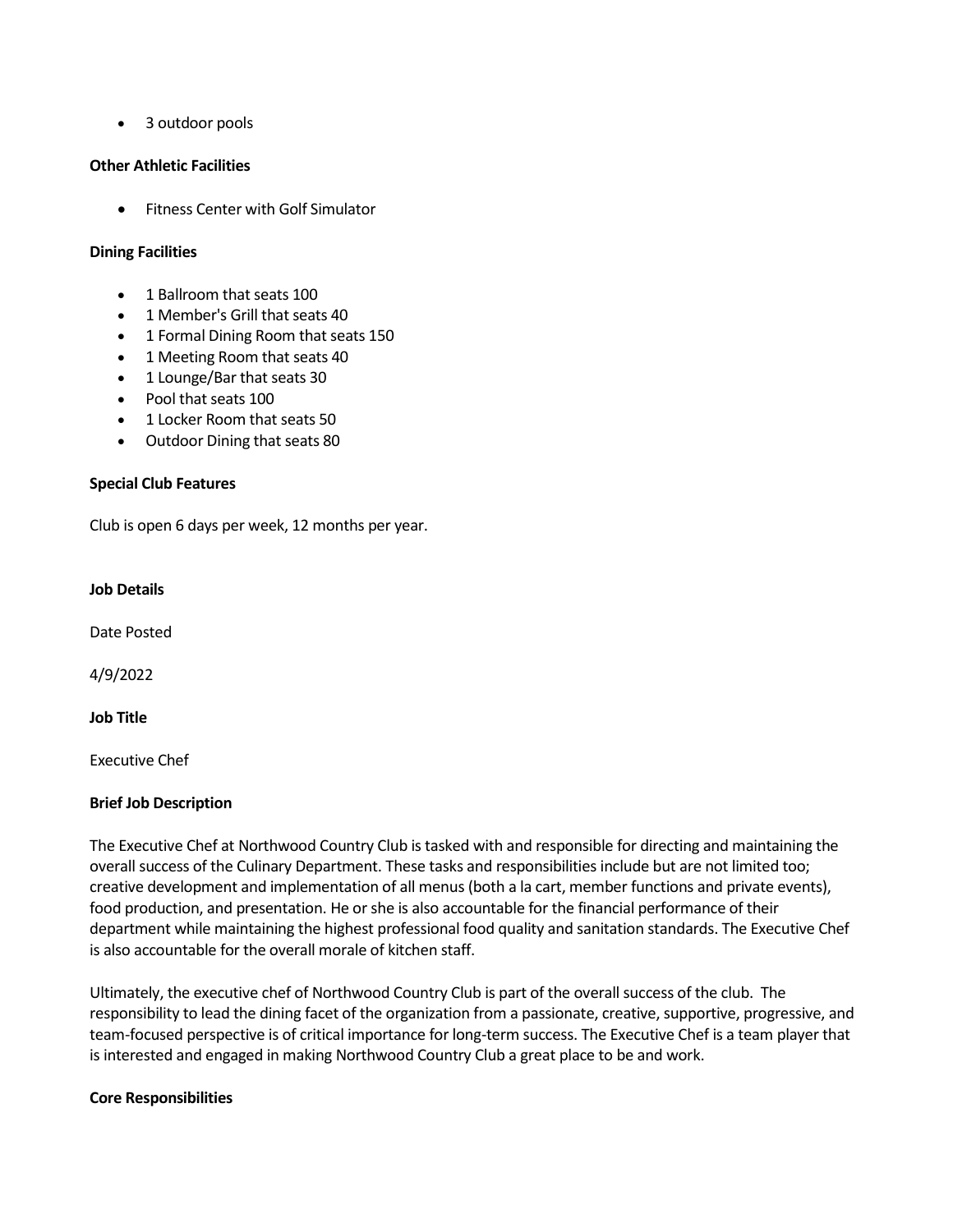• 3 outdoor pools

### **Other Athletic Facilities**

• Fitness Center with Golf Simulator

### **Dining Facilities**

- 1 Ballroom that seats 100
- 1 Member's Grill that seats 40
- 1 Formal Dining Room that seats 150
- 1 Meeting Room that seats 40
- 1 Lounge/Bar that seats 30
- Pool that seats 100
- 1 Locker Room that seats 50
- Outdoor Dining that seats 80

### **Special Club Features**

Club is open 6 days per week, 12 months per year.

### **Job Details**

Date Posted

4/9/2022

#### **Job Title**

Executive Chef

## **Brief Job Description**

The Executive Chef at Northwood Country Club is tasked with and responsible for directing and maintaining the overall success of the Culinary Department. These tasks and responsibilities include but are not limited too; creative development and implementation of all menus (both a la cart, member functions and private events), food production, and presentation. He or she is also accountable for the financial performance of their department while maintaining the highest professional food quality and sanitation standards. The Executive Chef is also accountable for the overall morale of kitchen staff.

Ultimately, the executive chef of Northwood Country Club is part of the overall success of the club. The responsibility to lead the dining facet of the organization from a passionate, creative, supportive, progressive, and team-focused perspective is of critical importance for long-term success. The Executive Chef is a team player that is interested and engaged in making Northwood Country Club a great place to be and work.

#### **Core Responsibilities**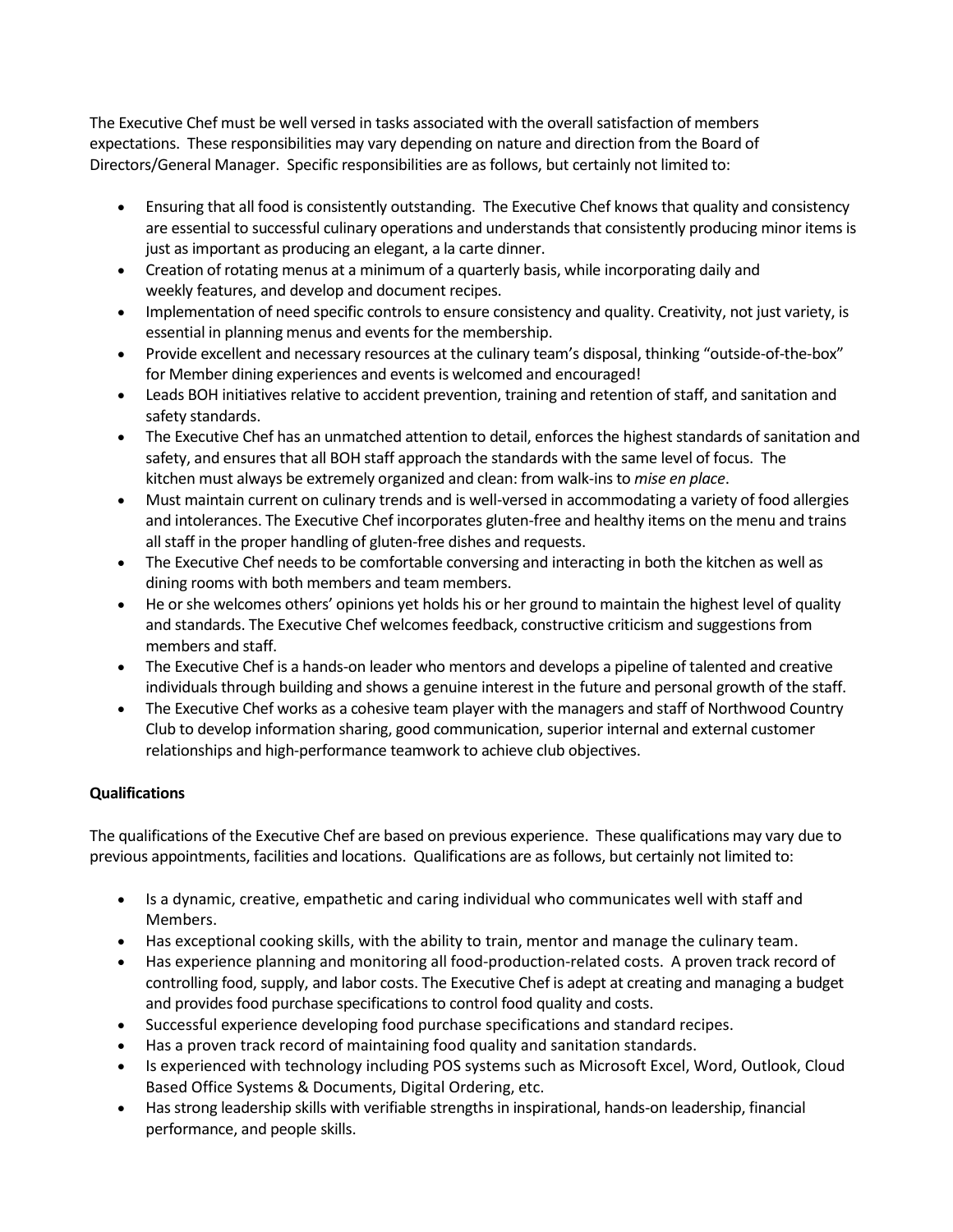The Executive Chef must be well versed in tasks associated with the overall satisfaction of members expectations. These responsibilities may vary depending on nature and direction from the Board of Directors/General Manager. Specific responsibilities are as follows, but certainly not limited to:

- Ensuring that all food is consistently outstanding. The Executive Chef knows that quality and consistency are essential to successful culinary operations and understands that consistently producing minor items is just as important as producing an elegant, a la carte dinner.
- Creation of rotating menus at a minimum of a quarterly basis, while incorporating daily and weekly features, and develop and document recipes.
- Implementation of need specific controls to ensure consistency and quality. Creativity, not just variety, is essential in planning menus and events for the membership.
- Provide excellent and necessary resources at the culinary team's disposal, thinking "outside-of-the-box" for Member dining experiences and events is welcomed and encouraged!
- Leads BOH initiatives relative to accident prevention, training and retention of staff, and sanitation and safety standards.
- The Executive Chef has an unmatched attention to detail, enforces the highest standards of sanitation and safety, and ensures that all BOH staff approach the standards with the same level of focus. The kitchen must always be extremely organized and clean: from walk-ins to *mise en place*.
- Must maintain current on culinary trends and is well-versed in accommodating a variety of food allergies and intolerances. The Executive Chef incorporates gluten-free and healthy items on the menu and trains all staff in the proper handling of gluten-free dishes and requests.
- The Executive Chef needs to be comfortable conversing and interacting in both the kitchen as well as dining rooms with both members and team members.
- He or she welcomes others' opinions yet holds his or her ground to maintain the highest level of quality and standards. The Executive Chef welcomes feedback, constructive criticism and suggestions from members and staff.
- The Executive Chef is a hands-on leader who mentors and develops a pipeline of talented and creative individuals through building and shows a genuine interest in the future and personal growth of the staff.
- The Executive Chef works as a cohesive team player with the managers and staff of Northwood Country Club to develop information sharing, good communication, superior internal and external customer relationships and high-performance teamwork to achieve club objectives.

# **Qualifications**

The qualifications of the Executive Chef are based on previous experience. These qualifications may vary due to previous appointments, facilities and locations. Qualifications are as follows, but certainly not limited to:

- Is a dynamic, creative, empathetic and caring individual who communicates well with staff and Members.
- Has exceptional cooking skills, with the ability to train, mentor and manage the culinary team.
- Has experience planning and monitoring all food-production-related costs. A proven track record of controlling food, supply, and labor costs. The Executive Chef is adept at creating and managing a budget and provides food purchase specifications to control food quality and costs.
- Successful experience developing food purchase specifications and standard recipes.
- Has a proven track record of maintaining food quality and sanitation standards.
- Is experienced with technology including POS systems such as Microsoft Excel, Word, Outlook, Cloud Based Office Systems & Documents, Digital Ordering, etc.
- Has strong leadership skills with verifiable strengths in inspirational, hands-on leadership, financial performance, and people skills.